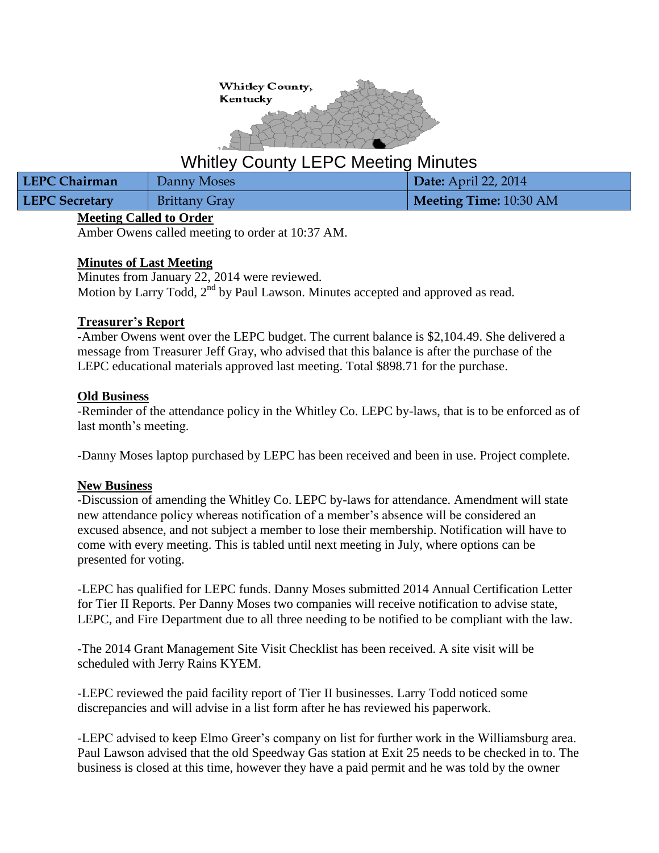

# Whitley County LEPC Meeting Minutes

| LEPC Chairman         | Danny Moses          | Date: April 22, 2014   |
|-----------------------|----------------------|------------------------|
| <b>LEPC Secretary</b> | <b>Brittany Gray</b> | Meeting Time: 10:30 AM |

# **Meeting Called to Order**

Amber Owens called meeting to order at 10:37 AM.

## **Minutes of Last Meeting**

Minutes from January 22, 2014 were reviewed. Motion by Larry Todd,  $2<sup>nd</sup>$  by Paul Lawson. Minutes accepted and approved as read.

## **Treasurer's Report**

-Amber Owens went over the LEPC budget. The current balance is \$2,104.49. She delivered a message from Treasurer Jeff Gray, who advised that this balance is after the purchase of the LEPC educational materials approved last meeting. Total \$898.71 for the purchase.

## **Old Business**

-Reminder of the attendance policy in the Whitley Co. LEPC by-laws, that is to be enforced as of last month's meeting.

-Danny Moses laptop purchased by LEPC has been received and been in use. Project complete.

# **New Business**

-Discussion of amending the Whitley Co. LEPC by-laws for attendance. Amendment will state new attendance policy whereas notification of a member's absence will be considered an excused absence, and not subject a member to lose their membership. Notification will have to come with every meeting. This is tabled until next meeting in July, where options can be presented for voting.

-LEPC has qualified for LEPC funds. Danny Moses submitted 2014 Annual Certification Letter for Tier II Reports. Per Danny Moses two companies will receive notification to advise state, LEPC, and Fire Department due to all three needing to be notified to be compliant with the law.

-The 2014 Grant Management Site Visit Checklist has been received. A site visit will be scheduled with Jerry Rains KYEM.

-LEPC reviewed the paid facility report of Tier II businesses. Larry Todd noticed some discrepancies and will advise in a list form after he has reviewed his paperwork.

-LEPC advised to keep Elmo Greer's company on list for further work in the Williamsburg area. Paul Lawson advised that the old Speedway Gas station at Exit 25 needs to be checked in to. The business is closed at this time, however they have a paid permit and he was told by the owner